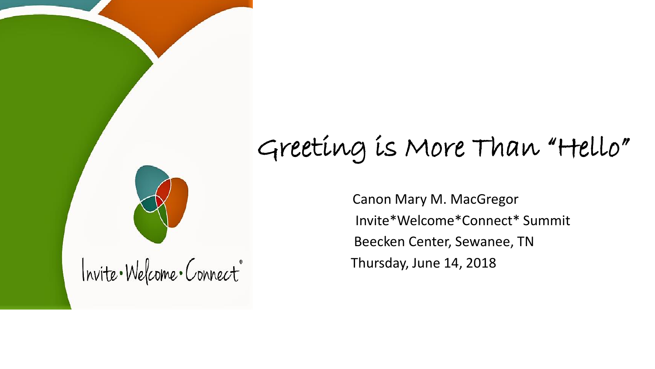

Canon Mary M. MacGregor Invite\*Welcome\*Connect\* Summit Beecken Center, Sewanee, TN Thursday, June 14, 2018

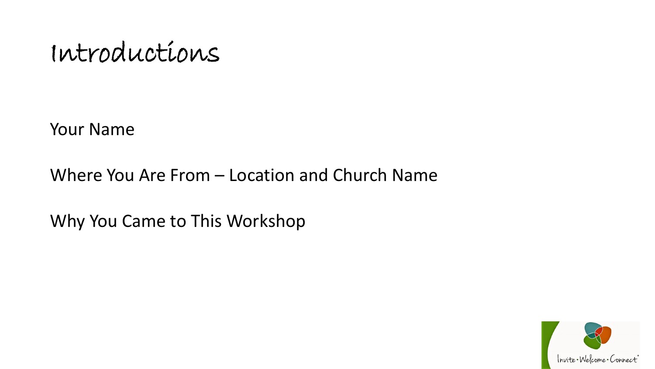Introductions

Your Name

Where You Are From – Location and Church Name

Why You Came to This Workshop

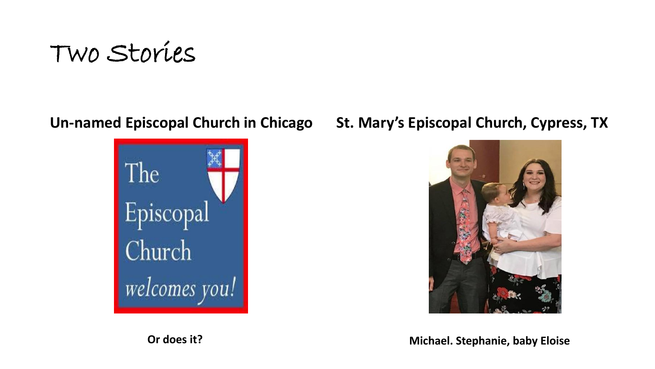



### **Un-named Episcopal Church in Chicago St. Mary's Episcopal Church, Cypress, TX**



**Or does it? Michael. Stephanie, baby Eloise**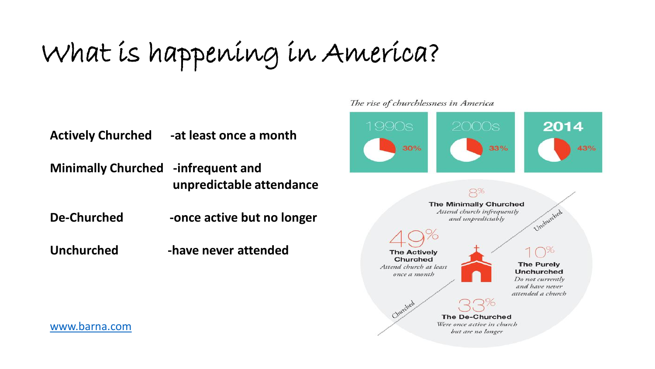## What is happening in America?

**Actively Churched -at least once a month**

**Minimally Churched -infrequent and unpredictable attendance**

De-Churched -once active but no longer

**Unchurched -have never attended**



#### [www.barna.com](http://www.barnaresearch.com/)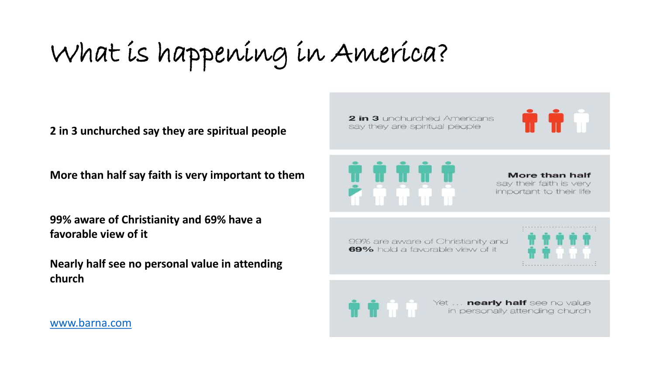What is happening in America?

**2 in 3 unchurched say they are spiritual people**

**More than half say faith is very important to them**

**99% aware of Christianity and 69% have a favorable view of it**

**Nearly half see no personal value in attending church**

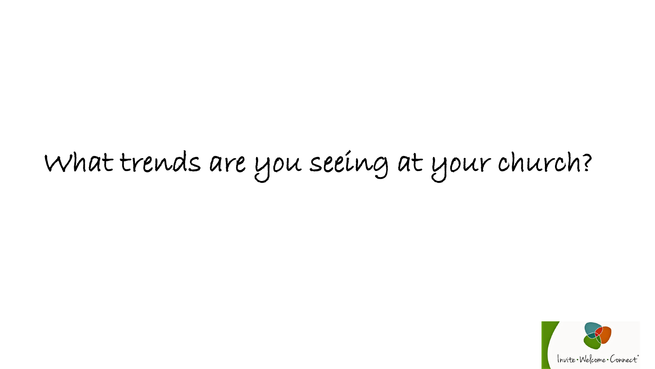# What trends are you seeing at your church?

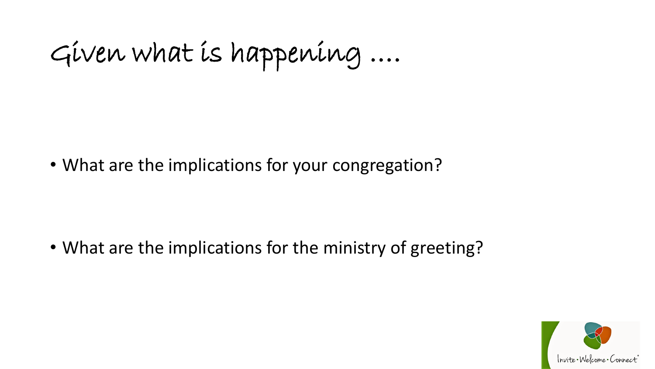Given what is happening ….

• What are the implications for your congregation?

• What are the implications for the ministry of greeting?

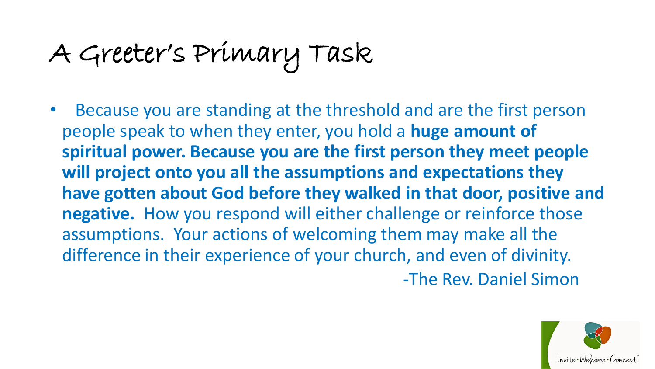## A Greeter's Primary Task

• Because you are standing at the threshold and are the first person people speak to when they enter, you hold a **huge amount of spiritual power. Because you are the first person they meet people will project onto you all the assumptions and expectations they have gotten about God before they walked in that door, positive and negative.** How you respond will either challenge or reinforce those assumptions. Your actions of welcoming them may make all the difference in their experience of your church, and even of divinity.

-The Rev. Daniel Simon

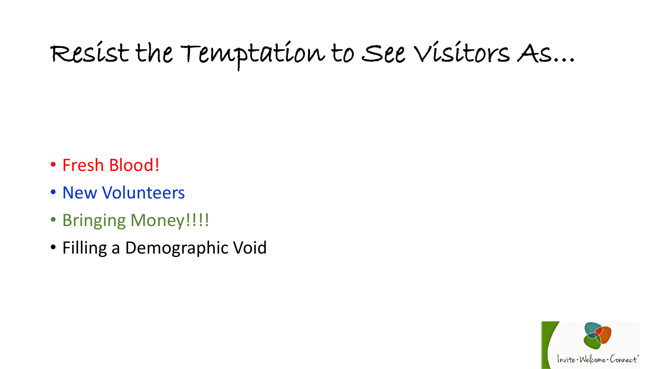## Resist the Temptation to See Visitors As…

- Fresh Blood!
- New Volunteers
- Bringing Money!!!!
- Filling a Demographic Void

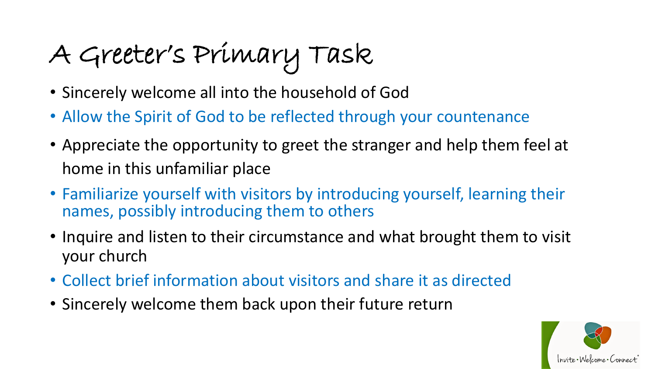## A Greeter's Primary Task

- Sincerely welcome all into the household of God
- Allow the Spirit of God to be reflected through your countenance
- Appreciate the opportunity to greet the stranger and help them feel at home in this unfamiliar place
- Familiarize yourself with visitors by introducing yourself, learning their names, possibly introducing them to others
- Inquire and listen to their circumstance and what brought them to visit your church
- Collect brief information about visitors and share it as directed
- Sincerely welcome them back upon their future return

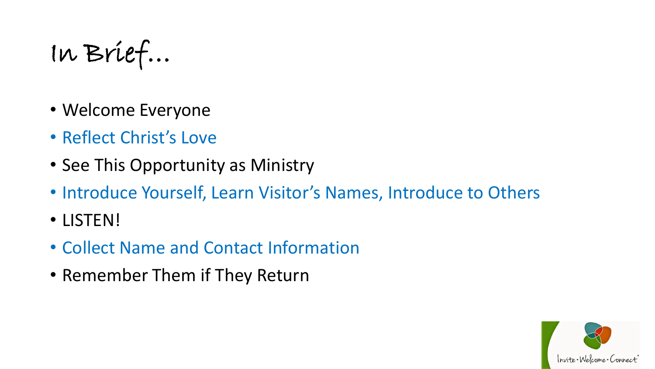In Brief…

- Welcome Everyone
- Reflect Christ's Love
- See This Opportunity as Ministry
- Introduce Yourself, Learn Visitor's Names, Introduce to Others
- LISTEN!
- Collect Name and Contact Information
- Remember Them if They Return

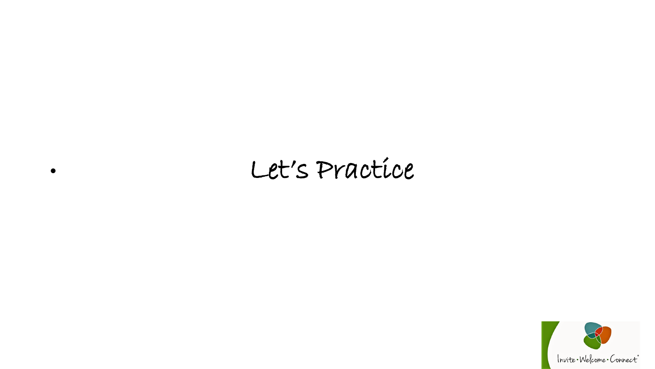## • Let's Practice

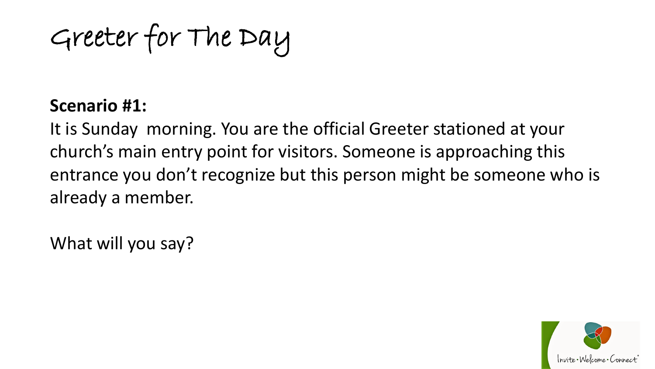Greeter for The Day

### **Scenario #1:**

It is Sunday morning. You are the official Greeter stationed at your church's main entry point for visitors. Someone is approaching this entrance you don't recognize but this person might be someone who is already a member.

What will you say?

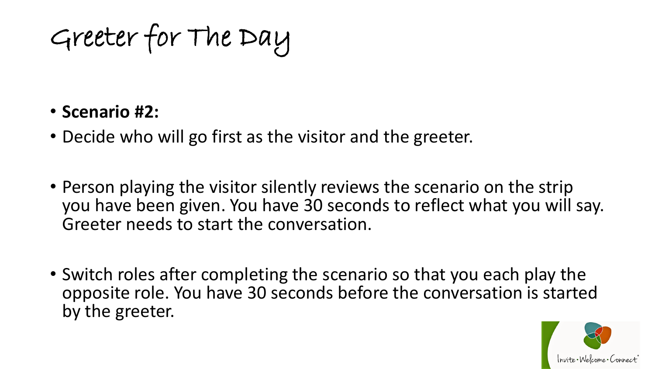Greeter for The Day

### • **Scenario #2:**

- Decide who will go first as the visitor and the greeter.
- Person playing the visitor silently reviews the scenario on the strip you have been given. You have 30 seconds to reflect what you will say. Greeter needs to start the conversation.
- Switch roles after completing the scenario so that you each play the opposite role. You have 30 seconds before the conversation is started by the greeter.

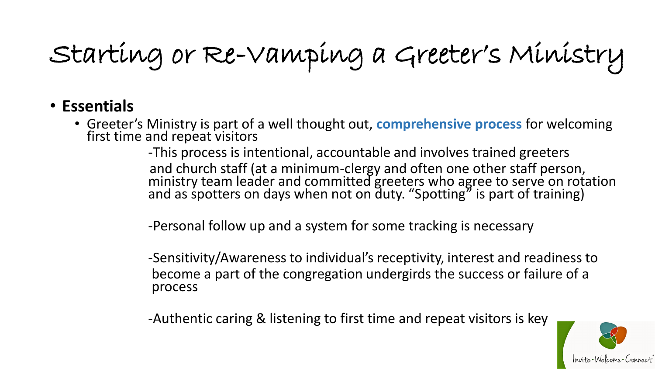Starting or Re-Vamping a Greeter's Ministry

### • **Essentials**

• Greeter's Ministry is part of a well thought out, **comprehensive process** for welcoming first time and repeat visitors

> -This process is intentional, accountable and involves trained greeters and church staff (at a minimum-clergy and often one other staff person, ministry team leader and committed greeters who agree to serve on rotation and as spotters on days when not on duty. "Spotting" is part of training)

-Personal follow up and a system for some tracking is necessary

-Sensitivity/Awareness to individual's receptivity, interest and readiness to become a part of the congregation undergirds the success or failure of a process

-Authentic caring & listening to first time and repeat visitors is key

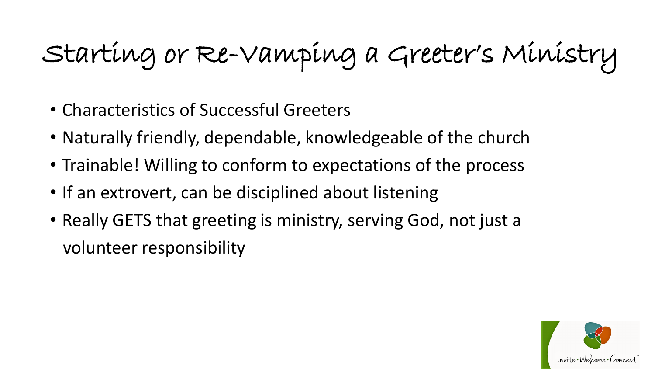## Starting or Re-Vamping a Greeter's Ministry

- Characteristics of Successful Greeters
- Naturally friendly, dependable, knowledgeable of the church
- Trainable! Willing to conform to expectations of the process
- If an extrovert, can be disciplined about listening
- Really GETS that greeting is ministry, serving God, not just a volunteer responsibility

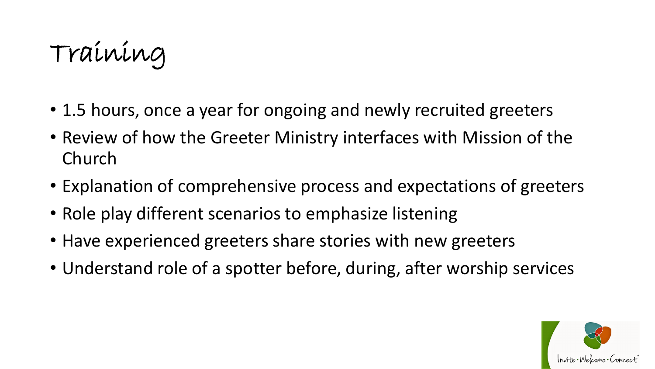Training

- 1.5 hours, once a year for ongoing and newly recruited greeters
- Review of how the Greeter Ministry interfaces with Mission of the Church
- Explanation of comprehensive process and expectations of greeters
- Role play different scenarios to emphasize listening
- Have experienced greeters share stories with new greeters
- Understand role of a spotter before, during, after worship services